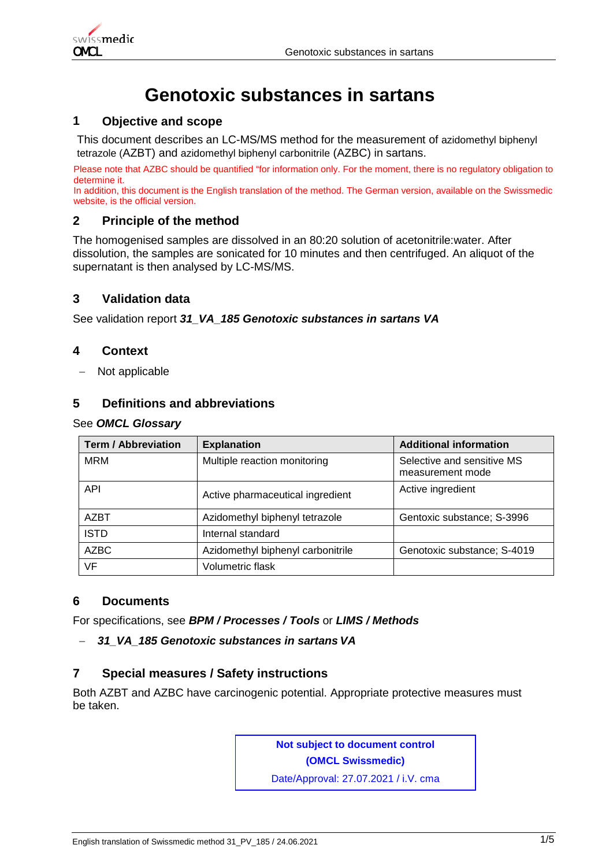

# **Genotoxic substances in sartans**

#### **1 Objective and scope**

This document describes an LC-MS/MS method for the measurement of azidomethyl biphenyl tetrazole (AZBT) and azidomethyl biphenyl carbonitrile (AZBC) in sartans.

Please note that AZBC should be quantified "for information only. For the moment, there is no regulatory obligation to determine it.

In addition, this document is the English translation of the method. The German version, available on the Swissmedic website, is the official version.

### **2 Principle of the method**

The homogenised samples are dissolved in an 80:20 solution of acetonitrile:water. After dissolution, the samples are sonicated for 10 minutes and then centrifuged. An aliquot of the supernatant is then analysed by LC-MS/MS.

### **3 Validation data**

See validation report *31\_VA\_185 Genotoxic substances in sartans VA*

#### **4 Context**

− Not applicable

# **5 Definitions and abbreviations**

#### See *OMCL Glossary*

| <b>Term / Abbreviation</b> | <b>Explanation</b>                | <b>Additional information</b>                  |
|----------------------------|-----------------------------------|------------------------------------------------|
| <b>MRM</b>                 | Multiple reaction monitoring      | Selective and sensitive MS<br>measurement mode |
| <b>API</b>                 | Active pharmaceutical ingredient  | Active ingredient                              |
| AZBT                       | Azidomethyl biphenyl tetrazole    | Gentoxic substance; S-3996                     |
| <b>ISTD</b>                | Internal standard                 |                                                |
| <b>AZBC</b>                | Azidomethyl biphenyl carbonitrile | Genotoxic substance; S-4019                    |
| VF                         | Volumetric flask                  |                                                |

# **6 Documents**

For specifications, see *BPM / Processes / Tools* or *LIMS / Methods*

#### − *31\_VA\_185 Genotoxic substances in sartans VA*

#### **7 Special measures / Safety instructions**

Both AZBT and AZBC have carcinogenic potential. Appropriate protective measures must be taken.

> **Not subject to document control (OMCL Swissmedic)**

Date/Approval: 27.07.2021 / i.V. cma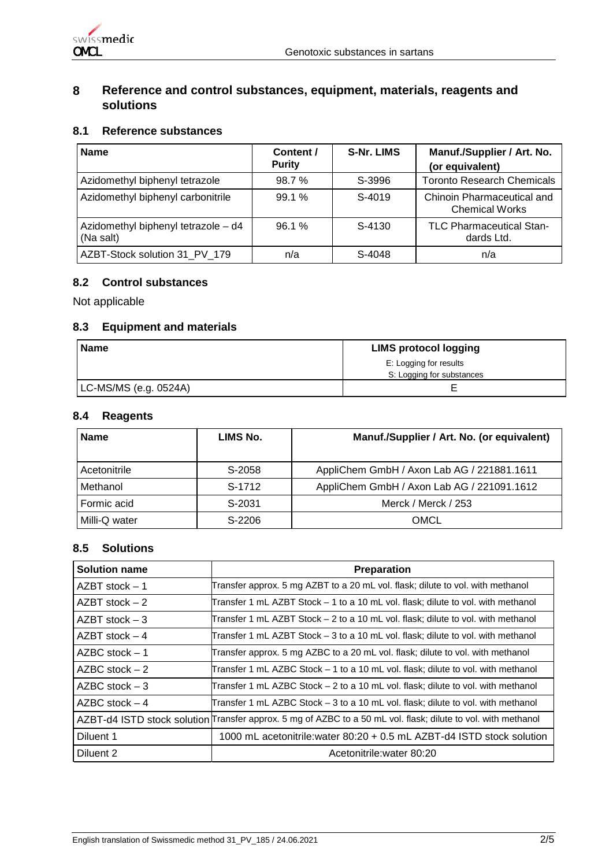

# **8 Reference and control substances, equipment, materials, reagents and solutions**

# **8.1 Reference substances**

| <b>Name</b>                                      | Content /<br><b>Purity</b> | <b>S-Nr. LIMS</b> | Manuf./Supplier / Art. No.<br>(or equivalent)       |
|--------------------------------------------------|----------------------------|-------------------|-----------------------------------------------------|
| Azidomethyl biphenyl tetrazole                   | 98.7%                      | S-3996            | <b>Toronto Research Chemicals</b>                   |
| Azidomethyl biphenyl carbonitrile                | 99.1%                      | S-4019            | Chinoin Pharmaceutical and<br><b>Chemical Works</b> |
| Azidomethyl biphenyl tetrazole - d4<br>(Na salt) | 96.1%                      | S-4130            | <b>TLC Pharmaceutical Stan-</b><br>dards Ltd.       |
| AZBT-Stock solution 31 PV 179                    | n/a                        | S-4048            | n/a                                                 |

### **8.2 Control substances**

Not applicable

### **8.3 Equipment and materials**

| Name                  | <b>LIMS protocol logging</b> |  |
|-----------------------|------------------------------|--|
|                       | E: Logging for results       |  |
|                       | S: Logging for substances    |  |
| LC-MS/MS (e.g. 0524A) |                              |  |

#### **8.4 Reagents**

| <b>Name</b>   | LIMS No. | Manuf./Supplier / Art. No. (or equivalent) |  |
|---------------|----------|--------------------------------------------|--|
| Acetonitrile  | S-2058   | AppliChem GmbH / Axon Lab AG / 221881.1611 |  |
| Methanol      | S-1712   | AppliChem GmbH / Axon Lab AG / 221091.1612 |  |
| Formic acid   | S-2031   | Merck / Merck / 253                        |  |
| Milli-Q water | S-2206   | OMCL                                       |  |

# **8.5 Solutions**

| <b>Solution name</b> | Preparation                                                                                                   |
|----------------------|---------------------------------------------------------------------------------------------------------------|
| $AZBT$ stock $-1$    | Transfer approx. 5 mg AZBT to a 20 mL vol. flask; dilute to vol. with methanol                                |
| $AZBT$ stock $-2$    | Transfer 1 mL AZBT Stock – 1 to a 10 mL vol. flask; dilute to vol. with methanol                              |
| $AZBT$ stock $-3$    | [Transfer 1 mL AZBT Stock – 2 to a 10 mL vol. flask; dilute to vol. with methanol                             |
| $AZBT$ stock $-4$    | [Transfer 1 mL AZBT Stock – 3 to a 10 mL vol. flask; dilute to vol. with methanol                             |
| $AZBC stock - 1$     | Transfer approx. 5 mg AZBC to a 20 mL vol. flask; dilute to vol. with methanol                                |
| $AZBC$ stock $-2$    | Transfer 1 mL AZBC Stock – 1 to a 10 mL vol. flask; dilute to vol. with methanol                              |
| $AZBC$ stock $-3$    | Transfer 1 mL AZBC Stock – 2 to a 10 mL vol. flask; dilute to vol. with methanol                              |
| $AZBC$ stock $-4$    | Transfer 1 mL AZBC Stock - 3 to a 10 mL vol. flask; dilute to vol. with methanol                              |
|                      | AZBT-d4 ISTD stock solution Transfer approx. 5 mg of AZBC to a 50 mL vol. flask; dilute to vol. with methanol |
| Diluent 1            | 1000 mL acetonitrile: water 80:20 + 0.5 mL AZBT-d4 ISTD stock solution                                        |
| Diluent 2            | Acetonitrile: water 80:20                                                                                     |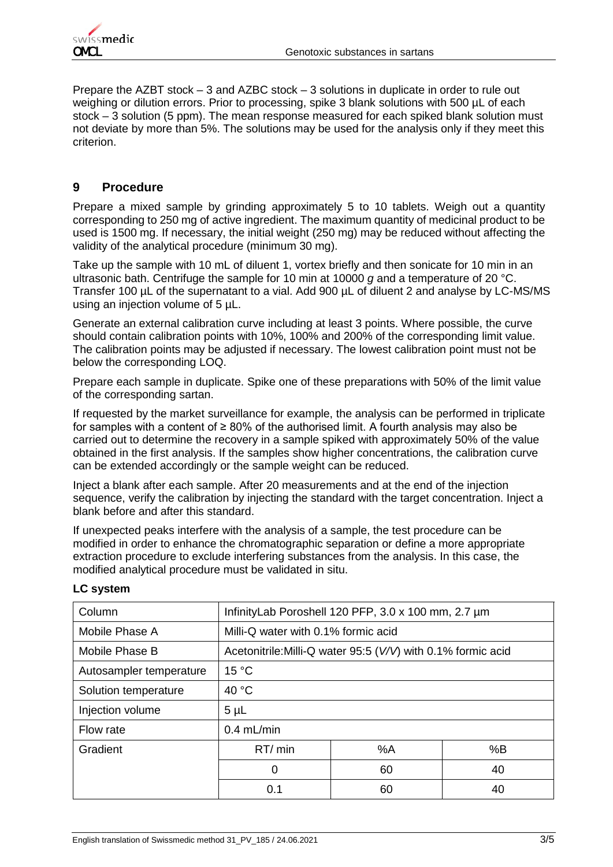

Prepare the AZBT stock – 3 and AZBC stock – 3 solutions in duplicate in order to rule out weighing or dilution errors. Prior to processing, spike 3 blank solutions with 500 µL of each stock – 3 solution (5 ppm). The mean response measured for each spiked blank solution must not deviate by more than 5%. The solutions may be used for the analysis only if they meet this criterion.

# **9 Procedure**

Prepare a mixed sample by grinding approximately 5 to 10 tablets. Weigh out a quantity corresponding to 250 mg of active ingredient. The maximum quantity of medicinal product to be used is 1500 mg. If necessary, the initial weight (250 mg) may be reduced without affecting the validity of the analytical procedure (minimum 30 mg).

Take up the sample with 10 mL of diluent 1, vortex briefly and then sonicate for 10 min in an ultrasonic bath. Centrifuge the sample for 10 min at 10000 *g* and a temperature of 20 °C. Transfer 100 µL of the supernatant to a vial. Add 900 µL of diluent 2 and analyse by LC-MS/MS using an injection volume of 5 µL.

Generate an external calibration curve including at least 3 points. Where possible, the curve should contain calibration points with 10%, 100% and 200% of the corresponding limit value. The calibration points may be adjusted if necessary. The lowest calibration point must not be below the corresponding LOQ.

Prepare each sample in duplicate. Spike one of these preparations with 50% of the limit value of the corresponding sartan.

If requested by the market surveillance for example, the analysis can be performed in triplicate for samples with a content of ≥ 80% of the authorised limit. A fourth analysis may also be carried out to determine the recovery in a sample spiked with approximately 50% of the value obtained in the first analysis. If the samples show higher concentrations, the calibration curve can be extended accordingly or the sample weight can be reduced.

Inject a blank after each sample. After 20 measurements and at the end of the injection sequence, verify the calibration by injecting the standard with the target concentration. Inject a blank before and after this standard.

If unexpected peaks interfere with the analysis of a sample, the test procedure can be modified in order to enhance the chromatographic separation or define a more appropriate extraction procedure to exclude interfering substances from the analysis. In this case, the modified analytical procedure must be validated in situ.

| Column                  | InfinityLab Poroshell 120 PFP, 3.0 x 100 mm, 2.7 µm          |    |    |
|-------------------------|--------------------------------------------------------------|----|----|
| Mobile Phase A          | Milli-Q water with 0.1% formic acid                          |    |    |
| Mobile Phase B          | Acetonitrile: Milli-Q water 95:5 (V/V) with 0.1% formic acid |    |    |
| Autosampler temperature | 15 °C                                                        |    |    |
| Solution temperature    | 40 °C                                                        |    |    |
| Injection volume        | $5 \mu L$                                                    |    |    |
| Flow rate               | $0.4$ mL/min                                                 |    |    |
| Gradient                | RT/ min                                                      | %A | %B |
|                         | $\Omega$                                                     | 60 | 40 |
|                         | 0.1                                                          | 60 | 40 |

#### **LC system**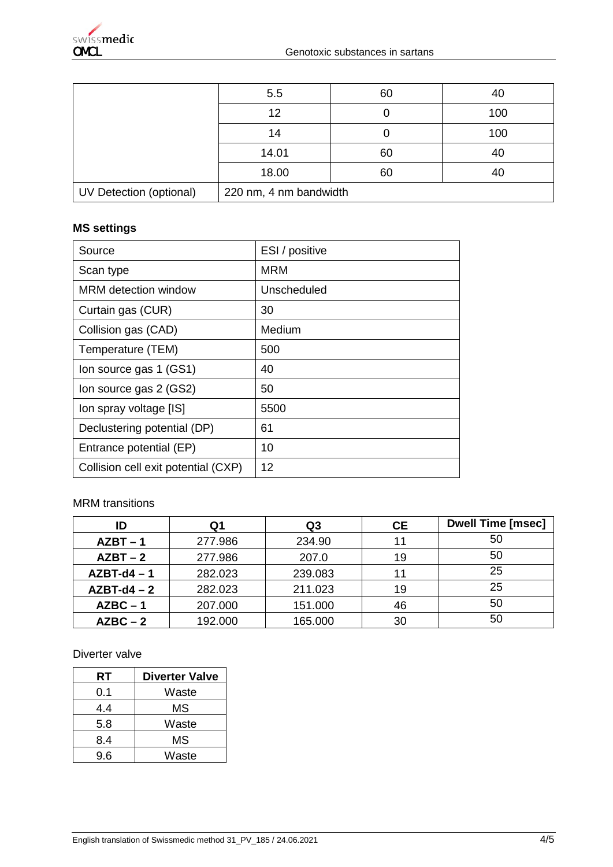|                         | 5.5                    | 60 | 40  |
|-------------------------|------------------------|----|-----|
|                         | 12                     |    | 100 |
|                         | 14                     | U  | 100 |
|                         | 14.01                  | 60 | 40  |
|                         | 18.00                  | 60 | 40  |
| UV Detection (optional) | 220 nm, 4 nm bandwidth |    |     |

# **MS settings**

| Source                              | ESI / positive |
|-------------------------------------|----------------|
| Scan type                           | MRM            |
| MRM detection window                | Unscheduled    |
| Curtain gas (CUR)                   | 30             |
| Collision gas (CAD)                 | Medium         |
| Temperature (TEM)                   | 500            |
| Ion source gas 1 (GS1)              | 40             |
| Ion source gas 2 (GS2)              | 50             |
| Ion spray voltage [IS]              | 5500           |
| Declustering potential (DP)         | 61             |
| Entrance potential (EP)             | 10             |
| Collision cell exit potential (CXP) | 12             |

# MRM transitions

| ID          | Q1      | Q3      | <b>CE</b> | <b>Dwell Time [msec]</b> |
|-------------|---------|---------|-----------|--------------------------|
| $AZBT - 1$  | 277.986 | 234.90  | 11        | 50                       |
| $AZBT - 2$  | 277.986 | 207.0   | 19        | 50                       |
| $AZBT-d4-1$ | 282.023 | 239.083 | 11        | 25                       |
| $AZBT-d4-2$ | 282.023 | 211.023 | 19        | 25                       |
| $AZBC - 1$  | 207.000 | 151.000 | 46        | 50                       |
| $AZBC - 2$  | 192.000 | 165.000 | 30        | 50                       |

# Diverter valve

| RT  | <b>Diverter Valve</b> |
|-----|-----------------------|
| 0.1 | Waste                 |
| 4.4 | ΜS                    |
| 5.8 | Waste                 |
| 8.4 | МS                    |
| 9.6 | Waste                 |